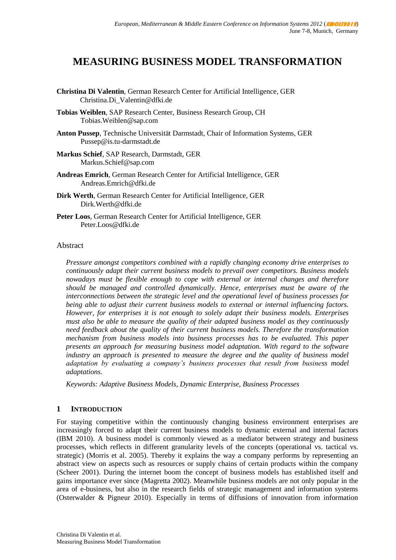# **MEASURING BUSINESS MODEL TRANSFORMATION**

- **Christina Di Valentin**, German Research Center for Artificial Intelligence, GER Christina.Di\_Valentin@dfki.de
- **Tobias Weiblen**, SAP Research Center, Business Research Group, CH Tobias.Weiblen@sap.com
- **Anton Pussep**, Technische Universität Darmstadt, Chair of Information Systems, GER Pussep@is.tu-darmstadt.de
- **Markus Schief**, SAP Research, Darmstadt, GER Markus.Schief@sap.com
- **Andreas Emrich**, German Research Center for Artificial Intelligence, GER Andreas.Emrich@dfki.de
- **Dirk Werth**, German Research Center for Artificial Intelligence, GER Dirk.Werth@dfki.de
- **Peter Loos**, German Research Center for Artificial Intelligence, GER Peter.Loos@dfki.de

#### Abstract

*Pressure amongst competitors combined with a rapidly changing economy drive enterprises to continuously adapt their current business models to prevail over competitors. Business models nowadays must be flexible enough to cope with external or internal changes and therefore should be managed and controlled dynamically. Hence, enterprises must be aware of the interconnections between the strategic level and the operational level of business processes for being able to adjust their current business models to external or internal influencing factors. However, for enterprises it is not enough to solely adapt their business models. Enterprises must also be able to measure the quality of their adapted business model as they continuously need feedback about the quality of their current business models. Therefore the transformation mechanism from business models into business processes has to be evaluated. This paper presents an approach for measuring business model adaptation. With regard to the software*  industry an approach is presented to measure the degree and the quality of business model *adaptation by evaluating a company's business processes that result from business model adaptations.*

*Keywords: Adaptive Business Models, Dynamic Enterprise, Business Processes*

#### **1 INTRODUCTION**

For staying competitive within the continuously changing business environment enterprises are increasingly forced to adapt their current business models to dynamic external and internal factors (IBM 2010). A business model is commonly viewed as a mediator between strategy and business processes, which reflects in different granularity levels of the concepts (operational vs. tactical vs. strategic) (Morris et al. 2005). Thereby it explains the way a company performs by representing an abstract view on aspects such as resources or supply chains of certain products within the company (Scheer 2001). During the internet boom the concept of business models has established itself and gains importance ever since (Magretta 2002). Meanwhile business models are not only popular in the area of e-business, but also in the research fields of strategic management and information systems (Osterwalder & Pigneur 2010). Especially in terms of diffusions of innovation from information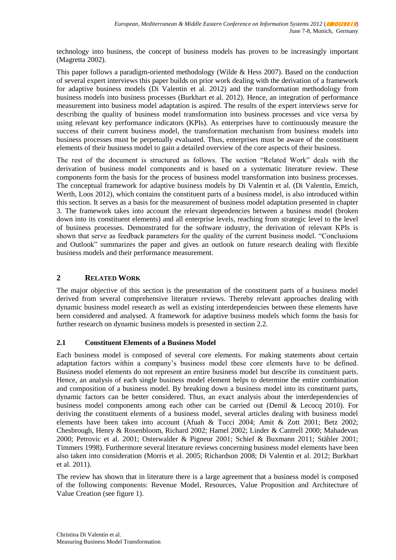technology into business, the concept of business models has proven to be increasingly important (Magretta 2002).

This paper follows a paradigm-oriented methodology (Wilde & Hess 2007). Based on the conduction of several expert interviews this paper builds on prior work dealing with the derivation of a framework for adaptive business models (Di Valentin et al. 2012) and the transformation methodology from business models into business processes (Burkhart et al. 2012). Hence, an integration of performance measurement into business model adaptation is aspired. The results of the expert interviews serve for describing the quality of business model transformation into business processes and vice versa by using relevant key performance indicators (KPIs). As enterprises have to continuously measure the success of their current business model, the transformation mechanism from business models into business processes must be perpetually evaluated. Thus, enterprises must be aware of the constituent elements of their business model to gain a detailed overview of the core aspects of their business.

The rest of the document is structured as follows. The section "Related Work" deals with the derivation of business model components and is based on a systematic literature review. These components form the basis for the process of business model transformation into business processes. The conceptual framework for adaptive business models by Di Valentin et al. (Di Valentin, Emrich, Werth, Loos 2012), which contains the constituent parts of a business model, is also introduced within this section. It serves as a basis for the measurement of business model adaptation presented in chapter 3. The framework takes into account the relevant dependencies between a business model (broken down into its constituent elements) and all enterprise levels, reaching from strategic level to the level of business processes. Demonstrated for the software industry, the derivation of relevant KPIs is shown that serve as feedback parameters for the quality of the current business model. "Conclusions and Outlook" summarizes the paper and gives an outlook on future research dealing with flexible business models and their performance measurement.

# **2 RELATED WORK**

The major objective of this section is the presentation of the constituent parts of a business model derived from several comprehensive literature reviews. Thereby relevant approaches dealing with dynamic business model research as well as existing interdependencies between these elements have been considered and analysed. A framework for adaptive business models which forms the basis for further research on dynamic business models is presented in section 2.2.

#### **2.1 Constituent Elements of a Business Model**

Each business model is composed of several core elements. For making statements about certain adaptation factors within a company's business model these core elements have to be defined. Business model elements do not represent an entire business model but describe its constituent parts. Hence, an analysis of each single business model element helps to determine the entire combination and composition of a business model. By breaking down a business model into its constituent parts, dynamic factors can be better considered. Thus, an exact analysis about the interdependencies of business model components among each other can be carried out (Demil & Lecocq 2010). For deriving the constituent elements of a business model, several articles dealing with business model elements have been taken into account (Afuah & Tucci 2004; Amit & Zott 2001; Betz 2002; Chesbrough, Henry & Rosenbloom, Richard 2002; Hamel 2002; Linder & Cantrell 2000; Mahadevan 2000; Petrovic et al. 2001; Osterwalder & Pigneur 2001; Schief & Buxmann 2011; Stähler 2001; Timmers 1998). Furthermore several literature reviews concerning business model elements have been also taken into consideration (Morris et al. 2005; Richardson 2008; Di Valentin et al. 2012; Burkhart et al. 2011).

The review has shown that in literature there is a large agreement that a business model is composed of the following components: Revenue Model, Resources, Value Proposition and Architecture of Value Creation (see figure 1).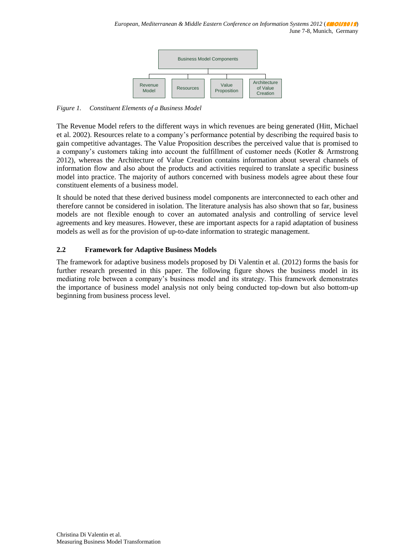

*Figure 1. Constituent Elements of a Business Model*

The Revenue Model refers to the different ways in which revenues are being generated (Hitt, Michael et al. 2002). Resources relate to a company's performance potential by describing the required basis to gain competitive advantages. The Value Proposition describes the perceived value that is promised to a company's customers taking into account the fulfillment of customer needs (Kotler & Armstrong 2012), whereas the Architecture of Value Creation contains information about several channels of information flow and also about the products and activities required to translate a specific business model into practice. The majority of authors concerned with business models agree about these four constituent elements of a business model.

It should be noted that these derived business model components are interconnected to each other and therefore cannot be considered in isolation. The literature analysis has also shown that so far, business models are not flexible enough to cover an automated analysis and controlling of service level agreements and key measures. However, these are important aspects for a rapid adaptation of business models as well as for the provision of up-to-date information to strategic management.

# **2.2 Framework for Adaptive Business Models**

The framework for adaptive business models proposed by Di Valentin et al. (2012) forms the basis for further research presented in this paper. The following figure shows the business model in its mediating role between a company's business model and its strategy. This framework demonstrates the importance of business model analysis not only being conducted top-down but also bottom-up beginning from business process level.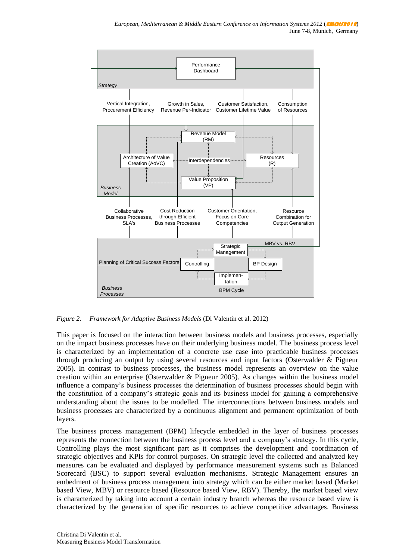

*Figure 2. Framework for Adaptive Business Models* (Di Valentin et al. 2012)

This paper is focused on the interaction between business models and business processes, especially on the impact business processes have on their underlying business model. The business process level is characterized by an implementation of a concrete use case into practicable business processes through producing an output by using several resources and input factors (Osterwalder & Pigneur 2005). In contrast to business processes, the business model represents an overview on the value creation within an enterprise (Osterwalder & Pigneur 2005). As changes within the business model influence a company's business processes the determination of business processes should begin with the constitution of a company's strategic goals and its business model for gaining a comprehensive understanding about the issues to be modelled. The interconnections between business models and business processes are characterized by a continuous alignment and permanent optimization of both layers.

The business process management (BPM) lifecycle embedded in the layer of business processes represents the connection between the business process level and a company's strategy. In this cycle, Controlling plays the most significant part as it comprises the development and coordination of strategic objectives and KPIs for control purposes. On strategic level the collected and analyzed key measures can be evaluated and displayed by performance measurement systems such as Balanced Scorecard (BSC) to support several evaluation mechanisms. Strategic Management ensures an embedment of business process management into strategy which can be either market based (Market based View, MBV) or resource based (Resource based View, RBV). Thereby, the market based view is characterized by taking into account a certain industry branch whereas the resource based view is characterized by the generation of specific resources to achieve competitive advantages. Business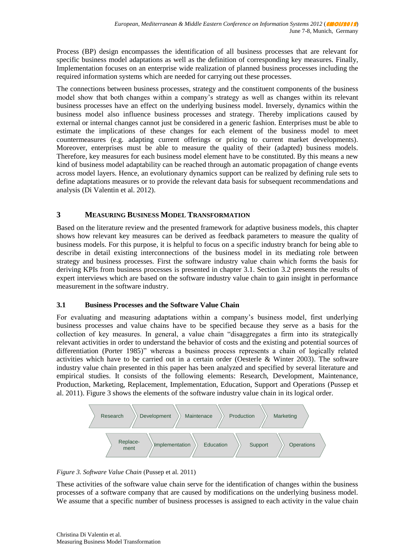Process (BP) design encompasses the identification of all business processes that are relevant for specific business model adaptations as well as the definition of corresponding key measures. Finally, Implementation focuses on an enterprise wide realization of planned business processes including the required information systems which are needed for carrying out these processes.

The connections between business processes, strategy and the constituent components of the business model show that both changes within a company's strategy as well as changes within its relevant business processes have an effect on the underlying business model. Inversely, dynamics within the business model also influence business processes and strategy. Thereby implications caused by external or internal changes cannot just be considered in a generic fashion. Enterprises must be able to estimate the implications of these changes for each element of the business model to meet countermeasures (e.g. adapting current offerings or pricing to current market developments). Moreover, enterprises must be able to measure the quality of their (adapted) business models. Therefore, key measures for each business model element have to be constituted. By this means a new kind of business model adaptability can be reached through an automatic propagation of change events across model layers. Hence, an evolutionary dynamics support can be realized by defining rule sets to define adaptations measures or to provide the relevant data basis for subsequent recommendations and analysis (Di Valentin et al. 2012).

# **3 MEASURING BUSINESS MODEL TRANSFORMATION**

Based on the literature review and the presented framework for adaptive business models, this chapter shows how relevant key measures can be derived as feedback parameters to measure the quality of business models. For this purpose, it is helpful to focus on a specific industry branch for being able to describe in detail existing interconnections of the business model in its mediating role between strategy and business processes. First the software industry value chain which forms the basis for deriving KPIs from business processes is presented in chapter 3.1. Section 3.2 presents the results of expert interviews which are based on the software industry value chain to gain insight in performance measurement in the software industry.

#### **3.1 Business Processes and the Software Value Chain**

For evaluating and measuring adaptations within a company's business model, first underlying business processes and value chains have to be specified because they serve as a basis for the collection of key measures. In general, a value chain "disaggregates a firm into its strategically relevant activities in order to understand the behavior of costs and the existing and potential sources of differentiation (Porter 1985)" whereas a business process represents a chain of logically related activities which have to be carried out in a certain order (Oesterle & Winter 2003). The software industry value chain presented in this paper has been analyzed and specified by several literature and empirical studies. It consists of the following elements: Research, Development, Maintenance, Production, Marketing, Replacement, Implementation, Education, Support and Operations (Pussep et al. 2011). Figure 3 shows the elements of the software industry value chain in its logical order.



*Figure 3. Software Value Chain* (Pussep et al. 2011)

These activities of the software value chain serve for the identification of changes within the business processes of a software company that are caused by modifications on the underlying business model. We assume that a specific number of business processes is assigned to each activity in the value chain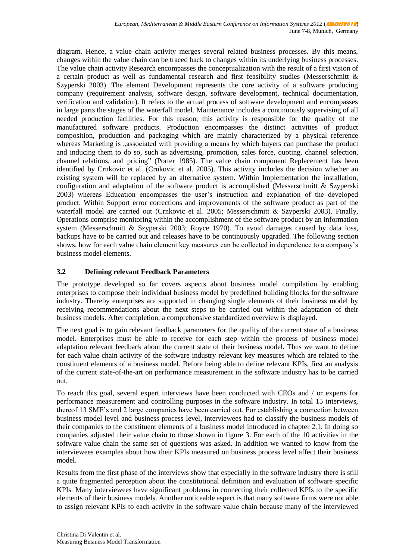diagram. Hence, a value chain activity merges several related business processes. By this means, changes within the value chain can be traced back to changes within its underlying business processes. The value chain activity Research encompasses the conceptualization with the result of a first vision of a certain product as well as fundamental research and first feasibility studies (Messerschmitt & Szyperski 2003). The element Development represents the core activity of a software producing company (requirement analysis, software design, software development, technical documentation, verification and validation). It refers to the actual process of software development and encompasses in large parts the stages of the waterfall model. Maintenance includes a continuously supervising of all needed production facilities. For this reason, this activity is responsible for the quality of the manufactured software products. Production encompasses the distinct activities of product composition, production and packaging which are mainly characterized by a physical reference whereas Marketing is "associated with providing a means by which buyers can purchase the product and inducing them to do so, such as advertising, promotion, sales force, quoting, channel selection, channel relations, and pricing" (Porter 1985). The value chain component Replacement has been identified by Crnkovic et al. (Crnkovic et al. 2005). This activity includes the decision whether an existing system will be replaced by an alternative system. Within Implementation the installation, configuration and adaptation of the software product is accomplished (Messerschmitt  $\&$  Szyperski 2003) whereas Education encompasses the user's instruction and explanation of the developed product. Within Support error corrections and improvements of the software product as part of the waterfall model are carried out (Crnkovic et al. 2005; Messerschmitt & Szyperski 2003). Finally, Operations comprise monitoring within the accomplishment of the software product by an information system (Messerschmitt & Szyperski 2003; Royce 1970). To avoid damages caused by data loss, backups have to be carried out and releases have to be continuously upgraded. The following section shows, how for each value chain element key measures can be collected in dependence to a company's business model elements.

# **3.2 Defining relevant Feedback Parameters**

The prototype developed so far covers aspects about business model compilation by enabling enterprises to compose their individual business model by predefined building blocks for the software industry. Thereby enterprises are supported in changing single elements of their business model by receiving recommendations about the next steps to be carried out within the adaptation of their business models. After completion, a comprehensive standardized overview is displayed.

The next goal is to gain relevant feedback parameters for the quality of the current state of a business model. Enterprises must be able to receive for each step within the process of business model adaptation relevant feedback about the current state of their business model. Thus we want to define for each value chain activity of the software industry relevant key measures which are related to the constituent elements of a business model. Before being able to define relevant KPIs, first an analysis of the current state-of-the-art on performance measurement in the software industry has to be carried out.

To reach this goal, several expert interviews have been conducted with CEOs and / or experts for performance measurement and controlling purposes in the software industry. In total 15 interviews, thereof 13 SME's and 2 large companies have been carried out. For establishing a connection between business model level and business process level, interviewees had to classify the business models of their companies to the constituent elements of a business model introduced in chapter 2.1. In doing so companies adjusted their value chain to those shown in figure 3. For each of the 10 activities in the software value chain the same set of questions was asked. In addition we wanted to know from the interviewees examples about how their KPIs measured on business process level affect their business model.

Results from the first phase of the interviews show that especially in the software industry there is still a quite fragmented perception about the constitutional definition and evaluation of software specific KPIs. Many interviewees have significant problems in connecting their collected KPIs to the specific elements of their business models. Another noticeable aspect is that many software firms were not able to assign relevant KPIs to each activity in the software value chain because many of the interviewed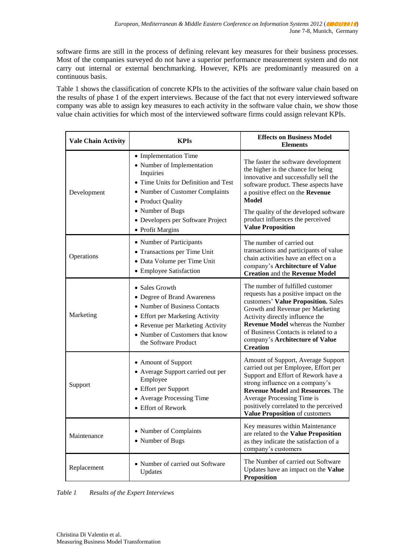software firms are still in the process of defining relevant key measures for their business processes. Most of the companies surveyed do not have a superior performance measurement system and do not carry out internal or external benchmarking. However, KPIs are predominantly measured on a continuous basis.

Table 1 shows the classification of concrete KPIs to the activities of the software value chain based on the results of phase 1 of the expert interviews. Because of the fact that not every interviewed software company was able to assign key measures to each activity in the software value chain, we show those value chain activities for which most of the interviewed software firms could assign relevant KPIs.

| <b>Vale Chain Activity</b> | <b>KPIs</b>                                                                                                                                                                                                                                   | <b>Effects on Business Model</b><br><b>Elements</b>                                                                                                                                                                                                                                                                              |
|----------------------------|-----------------------------------------------------------------------------------------------------------------------------------------------------------------------------------------------------------------------------------------------|----------------------------------------------------------------------------------------------------------------------------------------------------------------------------------------------------------------------------------------------------------------------------------------------------------------------------------|
| Development                | • Implementation Time<br>• Number of Implementation<br>Inquiries<br>• Time Units for Definition and Test<br>• Number of Customer Complaints<br>• Product Quality<br>• Number of Bugs<br>• Developers per Software Project<br>• Profit Margins | The faster the software development<br>the higher is the chance for being<br>innovative and successfully sell the<br>software product. These aspects have<br>a positive effect on the Revenue<br><b>Model</b><br>The quality of the developed software<br>product influences the perceived<br><b>Value Proposition</b>           |
| Operations                 | • Number of Participants<br>• Transactions per Time Unit<br>• Data Volume per Time Unit<br>• Employee Satisfaction                                                                                                                            | The number of carried out<br>transactions and participants of value<br>chain activities have an effect on a<br>company's Architecture of Value<br><b>Creation and the Revenue Model</b>                                                                                                                                          |
| Marketing                  | • Sales Growth<br>• Degree of Brand Awareness<br>• Number of Business Contacts<br>• Effort per Marketing Activity<br>• Revenue per Marketing Activity<br>• Number of Customers that know<br>the Software Product                              | The number of fulfilled customer<br>requests has a positive impact on the<br>customers' Value Proposition. Sales<br>Growth and Revenue per Marketing<br>Activity directly influence the<br><b>Revenue Model</b> whereas the Number<br>of Business Contacts is related to a<br>company's Architecture of Value<br><b>Creation</b> |
| Support                    | • Amount of Support<br>• Average Support carried out per<br>Employee<br>• Effort per Support<br>• Average Processing Time<br>• Effort of Rework                                                                                               | Amount of Support, Average Support<br>carried out per Employee, Effort per<br>Support and Effort of Rework have a<br>strong influence on a company's<br><b>Revenue Model and Resources. The</b><br>Average Processing Time is<br>positively correlated to the perceived<br>Value Proposition of customers                        |
| Maintenance                | • Number of Complaints<br>• Number of Bugs                                                                                                                                                                                                    | Key measures within Maintenance<br>are related to the Value Proposition<br>as they indicate the satisfaction of a<br>company's customers                                                                                                                                                                                         |
| Replacement                | • Number of carried out Software<br>Updates                                                                                                                                                                                                   | The Number of carried out Software<br>Updates have an impact on the Value<br><b>Proposition</b>                                                                                                                                                                                                                                  |

*Table 1 Results of the Expert Interviews*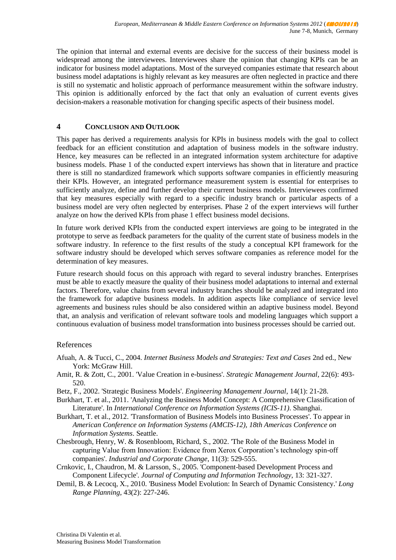The opinion that internal and external events are decisive for the success of their business model is widespread among the interviewees. Interviewees share the opinion that changing KPIs can be an indicator for business model adaptations. Most of the surveyed companies estimate that research about business model adaptations is highly relevant as key measures are often neglected in practice and there is still no systematic and holistic approach of performance measurement within the software industry. This opinion is additionally enforced by the fact that only an evaluation of current events gives decision-makers a reasonable motivation for changing specific aspects of their business model.

### **4 CONCLUSION AND OUTLOOK**

This paper has derived a requirements analysis for KPIs in business models with the goal to collect feedback for an efficient constitution and adaptation of business models in the software industry. Hence, key measures can be reflected in an integrated information system architecture for adaptive business models. Phase 1 of the conducted expert interviews has shown that in literature and practice there is still no standardized framework which supports software companies in efficiently measuring their KPIs. However, an integrated performance measurement system is essential for enterprises to sufficiently analyze, define and further develop their current business models. Interviewees confirmed that key measures especially with regard to a specific industry branch or particular aspects of a business model are very often neglected by enterprises. Phase 2 of the expert interviews will further analyze on how the derived KPIs from phase 1 effect business model decisions.

In future work derived KPIs from the conducted expert interviews are going to be integrated in the prototype to serve as feedback parameters for the quality of the current state of business models in the software industry. In reference to the first results of the study a conceptual KPI framework for the software industry should be developed which serves software companies as reference model for the determination of key measures.

Future research should focus on this approach with regard to several industry branches. Enterprises must be able to exactly measure the quality of their business model adaptations to internal and external factors. Therefore, value chains from several industry branches should be analyzed and integrated into the framework for adaptive business models. In addition aspects like compliance of service level agreements and business rules should be also considered within an adaptive business model. Beyond that, an analysis and verification of relevant software tools and modeling languages which support a continuous evaluation of business model transformation into business processes should be carried out.

#### References

- Afuah, A. & Tucci, C., 2004. *Internet Business Models and Strategies: Text and Cases* 2nd ed., New York: McGraw Hill.
- Amit, R. & Zott, C., 2001. 'Value Creation in e-business'. *Strategic Management Journal*, 22(6): 493- 520.
- Betz, F., 2002. 'Strategic Business Models'. *Engineering Management Journal*, 14(1): 21-28.
- Burkhart, T. et al., 2011. 'Analyzing the Business Model Concept: A Comprehensive Classification of Literature'. In *International Conference on Information Systems (ICIS-11)*. Shanghai.
- Burkhart, T. et al., 2012. 'Transformation of Business Models into Business Processes'. To appear in *American Conference on Information Systems (AMCIS-12), 18th Americas Conference on Information Systems*. Seattle.
- Chesbrough, Henry, W. & Rosenbloom, Richard, S., 2002. 'The Role of the Business Model in capturing Value from Innovation: Evidence from Xerox Corporation's technology spin-off companies'. *Industrial and Corporate Change*, 11(3): 529-555.
- Crnkovic, I., Chaudron, M. & Larsson, S., 2005. 'Component-based Development Process and Component Lifecycle'. *Journal of Computing and Information Technology*, 13: 321-327.
- Demil, B. & Lecocq, X., 2010. 'Business Model Evolution: In Search of Dynamic Consistency.' *Long Range Planning*, 43(2): 227-246.